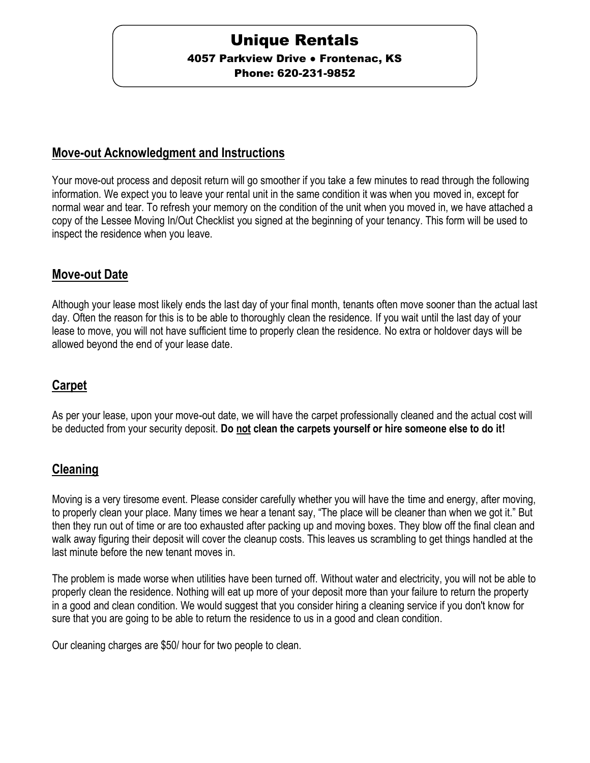# Unique Rentals

**4057 Parkview Drive • Frontenac, KS** 

Phone: 620-231-9852

#### **Move-out Acknowledgment and Instructions**

Your move-out process and deposit return will go smoother if you take a few minutes to read through the following information. We expect you to leave your rental unit in the same condition it was when you moved in, except for normal wear and tear. To refresh your memory on the condition of the unit when you moved in, we have attached a copy of the Lessee Moving In/Out Checklist you signed at the beginning of your tenancy. This form will be used to inspect the residence when you leave.

#### **Move-out Date**

Although your lease most likely ends the last day of your final month, tenants often move sooner than the actual last day. Often the reason for this is to be able to thoroughly clean the residence. If you wait until the last day of your lease to move, you will not have sufficient time to properly clean the residence. No extra or holdover days will be allowed beyond the end of your lease date.

## **Carpet**

As per your lease, upon your move-out date, we will have the carpet professionally cleaned and the actual cost will be deducted from your security deposit. **Do not clean the carpets yourself or hire someone else to do it!**

## **Cleaning**

Moving is a very tiresome event. Please consider carefully whether you will have the time and energy, after moving, to properly clean your place. Many times we hear a tenant say, "The place will be cleaner than when we got it." But then they run out of time or are too exhausted after packing up and moving boxes. They blow off the final clean and walk away figuring their deposit will cover the cleanup costs. This leaves us scrambling to get things handled at the last minute before the new tenant moves in.

The problem is made worse when utilities have been turned off. Without water and electricity, you will not be able to properly clean the residence. Nothing will eat up more of your deposit more than your failure to return the property in a good and clean condition. We would suggest that you consider hiring a cleaning service if you don't know for sure that you are going to be able to return the residence to us in a good and clean condition.

Our cleaning charges are \$50/ hour for two people to clean.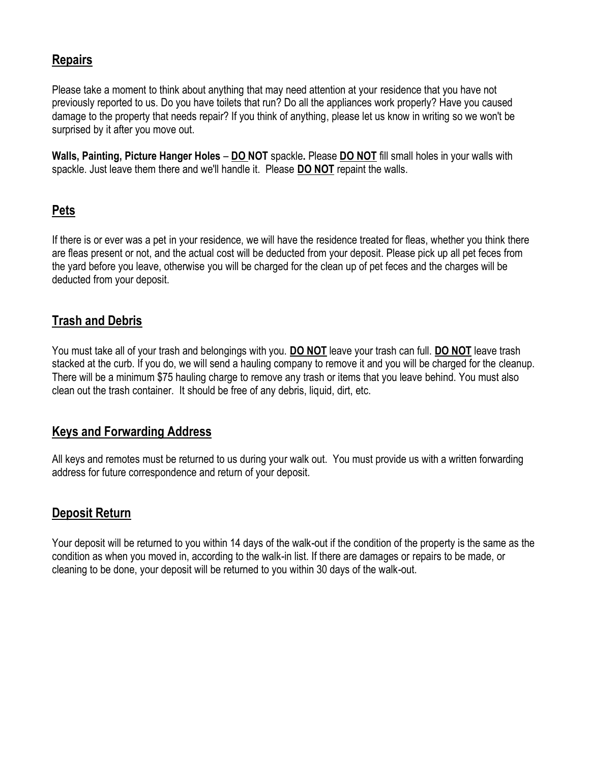## **Repairs**

Please take a moment to think about anything that may need attention at your residence that you have not previously reported to us. Do you have toilets that run? Do all the appliances work properly? Have you caused damage to the property that needs repair? If you think of anything, please let us know in writing so we won't be surprised by it after you move out.

**Walls, Painting, Picture Hanger Holes** – **DO NOT** spackle**.** Please **DO NOT** fill small holes in your walls with spackle. Just leave them there and we'll handle it. Please **DO NOT** repaint the walls.

## **Pets**

If there is or ever was a pet in your residence, we will have the residence treated for fleas, whether you think there are fleas present or not, and the actual cost will be deducted from your deposit. Please pick up all pet feces from the yard before you leave, otherwise you will be charged for the clean up of pet feces and the charges will be deducted from your deposit.

### **Trash and Debris**

You must take all of your trash and belongings with you. **DO NOT** leave your trash can full. **DO NOT** leave trash stacked at the curb. If you do, we will send a hauling company to remove it and you will be charged for the cleanup. There will be a minimum \$75 hauling charge to remove any trash or items that you leave behind. You must also clean out the trash container. It should be free of any debris, liquid, dirt, etc.

#### **Keys and Forwarding Address**

All keys and remotes must be returned to us during your walk out. You must provide us with a written forwarding address for future correspondence and return of your deposit.

#### **Deposit Return**

Your deposit will be returned to you within 14 days of the walk-out if the condition of the property is the same as the condition as when you moved in, according to the walk-in list. If there are damages or repairs to be made, or cleaning to be done, your deposit will be returned to you within 30 days of the walk-out.